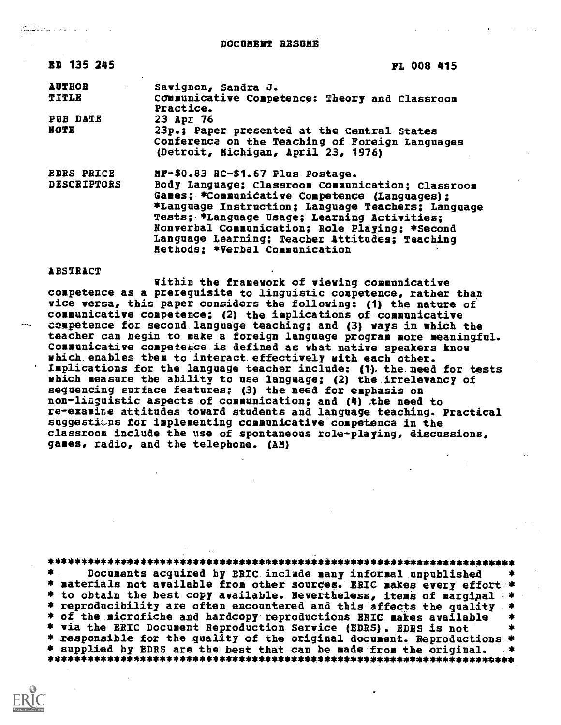DOCUMENT RESUME

| <b>ED 135 245</b>                       | <b>FL 008 415</b>                                                                                                                                                                                                                                                                                                                                                                   |
|-----------------------------------------|-------------------------------------------------------------------------------------------------------------------------------------------------------------------------------------------------------------------------------------------------------------------------------------------------------------------------------------------------------------------------------------|
| <b>AUTHOR</b><br><b>TITLE</b>           | Savignon, Sandra J.<br>COMMunicative Competence: Theory and Classroom<br>Practice.                                                                                                                                                                                                                                                                                                  |
| PUB DATE<br>NOTE                        | 23 Apr 76<br>23p.; Paper presented at the Central States<br>Conference on the Teaching of Foreign Languages<br>(Detroit, Michigan, April 23, 1976)                                                                                                                                                                                                                                  |
| <b>EDRS PRICE</b><br><b>DESCRIPTORS</b> | MF-\$0.83 HC-\$1.67 Plus Postage.<br>Body Language; Classroom Communication; Classroom<br>Games; *Communicative Competence (Languages);<br>*Language Instruction; Language Teachers; Language<br>Tests; *Language Usage; Learning Activities;<br>Nonverbal Communication; Role Playing; *Second<br>Language Learning; Teacher Attitudes; Teaching<br>Methods; *Verbal Communication |

ABSTRACT

للمام والمفرعات ليوثم والمتأسوريا

Within the framework of viewing communicative competence as a prerequisite to linguistic competence, rather than vice versa, this paper considers the following: (1) the nature of communicative competence; (2) the implications of communicative competence for second language teaching; and (3) ways in which the teacher can begin to make a foreign language program more meaningful. Communicative competeuce is defined as what native speakers know which enables them to interact effectively with each other. Implications for the language teacher include: (1) the need for tests which measure the ability to use language; (2) the irrelevancy of sequencing surface features; (3) the need for emphasis on non-lizguistic aspects of communication; and (4) the need to re-examiLe attitudes toward students and language teaching. Practical suggestians for implementing communicative competence in the classroom include the use of spontaneous role-playing, discussions, games, radio, and the telephone. (AM)

\*\*\*\*\*\*\*\*\*\*\*\*\*\*\*\*\*\*\*\*\*\*\*\*\*\*\*\*\*\*\*\*\*\*\*\*\*\*\*\*\*\*\*\*\*\*\*\*\*\*\*\*\*\*\*\*\*\*\*\*\*\*\*\*\*\*\*\*\*\*\* Documents acquired by ERIC include many informal unpublished \* materials not available from other sources. ERIC makes every effort \*<br>\* to obtain the best copy available. Nevertheless, items of marginal \* \* to obtain the best copy available. Nevertheless, items of marginal \*<br>\* reproducibility are often encountered and this affects the quality \*<br>\* of the microfiche and hardcopy reproductions BRIC makes available \*<br>\* via the \* responsible for the quality of the original document. Reproductions \* \* supp/ied by EDES are the best that can be made from the original. \* \*\*\*\*\*\*\*\*\*\*\*\*\*\*\*W\*\*\*\*\*\*\*\*\*\*\*\*\*\*\*\*\*\*\*\*\*\*\*\*44#44\*\*\*\*\*\*\*\*\*\*\*\*444430\*\*\*\*\*\*#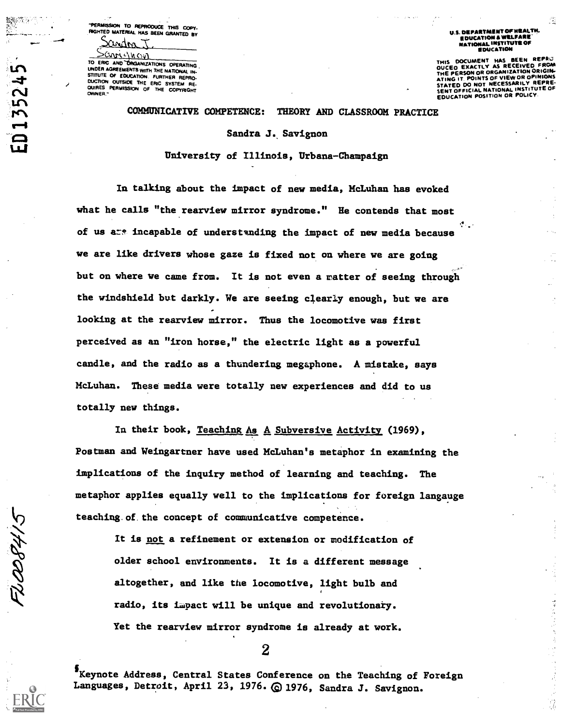'PERMISSION TO REPRODUCE THIS COPY-<br>'HGHTED MATERIAL HAS BEEN GRANTED BY

WAM

 $\sim$ SCAM CVI<br>TO ERIC AND ORGANIZATIONS OPERATING UNDER AGREEMENTS WITH THE NATIONAL IN-<br>STITUTE OF EDUCATION. FURTHER REPRO-<br>DUCTION OUTSIDE THE ERIC SYSTEM RE-<br>QUIRES PERMISSION OF THE COPYRIGHT<br>OWNER.'

res. rs

U.S. DEPARTMENT OF NEALTH.<br>EDUCATION & WELFARE NATIONAL INSTITUTE OF EDUCATIOM

THIS DOCUMENT HAS BEEN REPAST THE PERSON OR ORGANIZATION ORIGINAL<br>THE PERSON OR ORGANIZATION ORIGINAL<br>ATING IT. POINTS OF VIEW OR OPINIONS<br>STATED DO NOT NECESSARILY REPRE:<br>SENT OFFICIAL NATIONAL INSTITUTE OF<br>EDUCATION POSITION OR POLICY.

## COMMUNICATIVE COMPETENCE: THEORY AND CLASSROOM PRACTICE

Sandra J. Savignon

University of Illinois, Urbana-Champaign

In talking about the impact of new media, McLuhan has evoked what he calls "the rearview mirror syndrome." He contends that most of us are incapable of understanding the impact of new media because we are like drivers whose gaze is fixed not on where we are going but on where we came from. It is not even a matter of seeing through the windshield but darkly. We are seeing clearly enough, but we are looking at the rearview mirror. Thus the locomotive was first perceived as an "iron horse," the electric light as a powerful candle, and the radio as a thundering megaphone. A mistake, says McLuhan. These media were totally new experiences and did to us totally new things.

In their book, Teaching As A Subversive Activity (1969), Postman and Weingartner have used McLuhan's metaphor in examining the implications of the inquiry method of learning and teaching. The metaphor applies equally well to the implications for foreign langauge teaching.of.the concept of communicative competence.

It is not a refinement or extension or modification of older school environments. It is a different message altogether, and like the locomotive, light bulb and radio, its impact will be unique and revolutionary. Yet the rearview mirror syndrome is already at work.

2

§Keynote Address, Central States Conference on the Teaching of Foreign Languages, Detroit, April 23, 1976. @ 1976, Sandra J. Savignon.

ELOOG415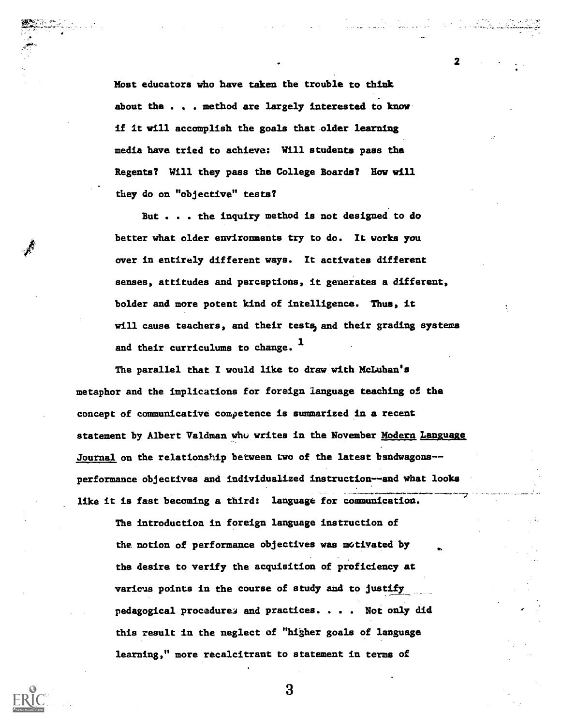Most educators Who have taken the trouble to thiak About the . . method are largely interested to know' if it will accomplish the goals that older learning media have tried to achieve: Will students pass the Regents? Will they pass the College Boards? Row will they do on "objective" tests?

2 a de a

المستعمل المناسب

But . . . the inquiry method is not designed to do better what older environments try to do. It works you over in entirely different ways. It activates different senses, attitudes and perceptions, it generates a different, bolder and more potent kind of intelligence. Thus, it will cause teachers, and their tests, and their grading systems and their curriculums to change.  $<sup>1</sup>$ </sup>

The parallel that I would like to draw with McLuhan's metaphor and the implications for foreign language teaching of the concept of communicative competence is summarized in a recent statement by Albert Valdman who writes in the November Modern Language Journal on the relationship between two of the latest bandwagons- performance objectives and individualized instruction--and what looks like it is fast becoming a third: language for communication.

The introduction in foreign language instruction of the notion of performance objectives was motivated by the desire to verify the acquisition of proficiency at various points in the course of study and to justify pedagogical procedure3 and practices. . . . Not only did this result in the neglect of "higher goals of language learning," more recalcitrant to statement in terms of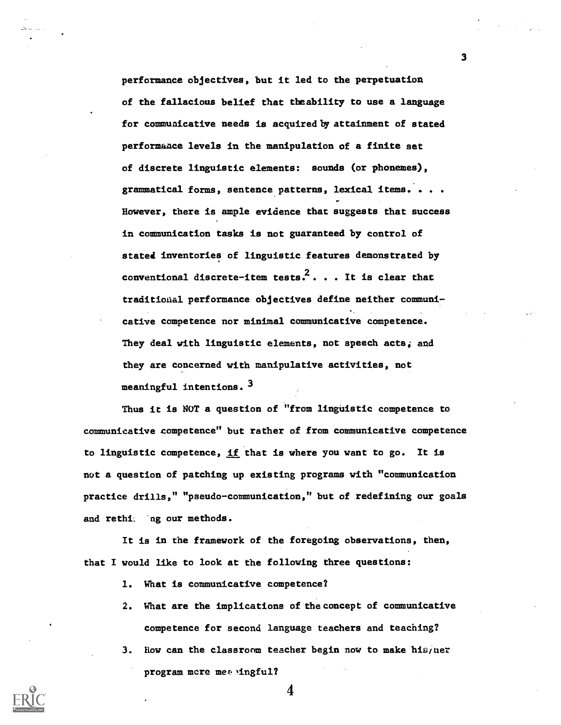performance objectives, but it led to the perpetuation of the fallacious belief that theability to use a language for communicative needs is acquired by attainment of stated performance levels in the manipulation of a finite set of discrete linguistic elements: sounds (or phonemes), grammatical forms, sentence patterns, lexical items. . . . However, there is ample evidence that suggests that success in communication tasks is not guaranteed by control of stated inventories of linguistic features demonstrated by conventional discrete-item tests.<sup>2</sup>... It is clear that traditional performance objectives define neither communicative competence nor minimal communicative competence. They deal with linguistic elements, not speech acts; and they are concerned with manipulative activities, not meaningful intentions.  $3$ 

Thus it is NOT a question of "from linguistic competence to communicative competence" but rather of from communicative competence to linguistic competence, if that is where you want to go. It is not a question of patching up existing programs with "communication practice drills," "pseudo-communication," but of redefining our goals and rethit 'ng our methods.

It is in the framework of the foregoing observations, then, that I would like to look at the following three questions:

- 1. What is communicative competence?
- 2. What are the implications of theconcept of communicative competence for second language teachers and teaching?
- 3. How can the classroom teacher begin now to make his/her program mere mes ingful?

4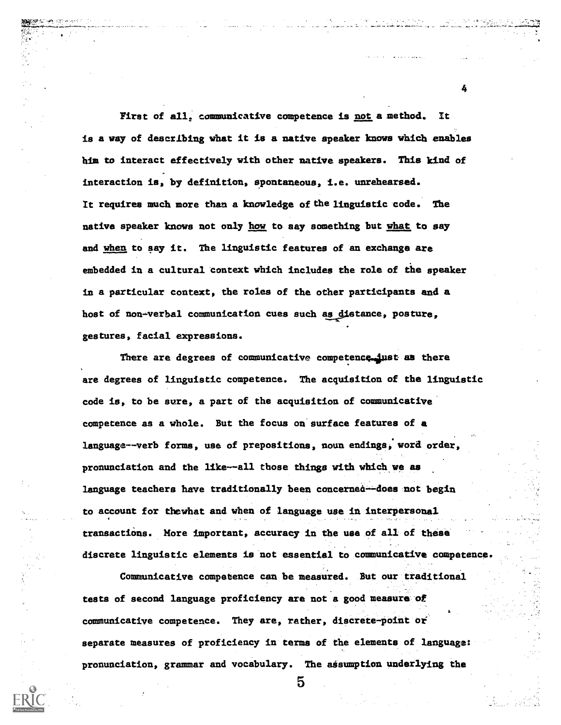First of all, communicative competence is not a method. is a way of describing what it is a native speaker knows which enables him to interact effectively with other native speakers. This kind of interaction is, by definition, spontaneous, i.e. unrehearsed. It requires much more than a knowledge of the linguistic code. The native speeker knows not only how to say something but what to say and when to say it. The linguistic features of an exchange are embedded in a cultural context which includes the role of the speaker in a particular context, the roles of the other participants and a host of non-verbal communication cues such as distance, posture. gestures, facial expressions.

<del>, 1984) (1994) (1996) (1996) (1996) (1997) (1997) (1998) (1998) (1998) (1998) (1998) (1998) (1998) (1998) (1998) (1998) (1998) (1998) (1998) (1998) (1998) (1998) (1998) (1998) (1998) (1998) (1998) (1998) (1998) (1998) (19</del>

There are degrees of communicative competence just as there are degrees of linguistic competence. The acquisition of the linguistic code is, to be sure, a part of the acquisition of communicative competence as a whole. But the focus on'surface features of a language--verb forms, use of prepositions, noun endings,' word order, pronunciation and the like--all those things with which we as language teachers have traditionally been concernea--does not begin to account for thewhat and when of language use in interpersonal transactiOns. More important, accuracy in the use of all of these discrete linguistic elements is not essential to communicative competence.

Communicative competence can be measured. But our traditional tests of second language proficiency are not a good measure of communicative competence. They are, rather, discrete-point of separate measures of proficiency in terms of the elements of language: pronunciation, grammar and vocabulary. The asisumption underlying the

5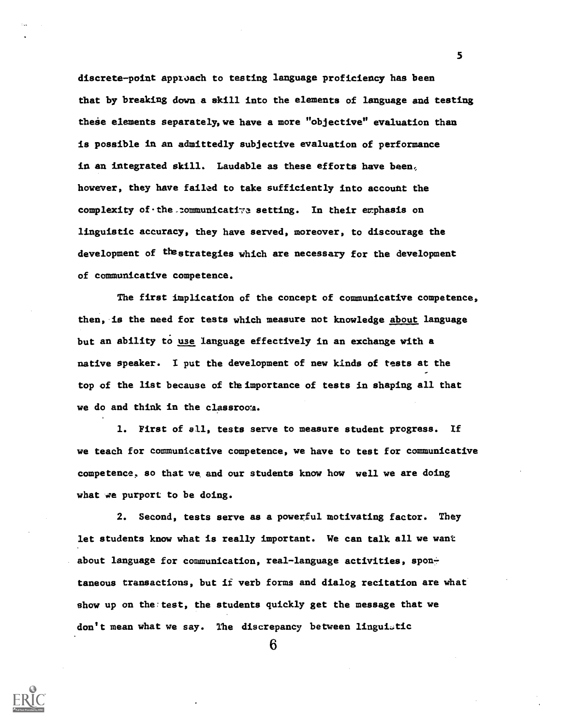discrete-point apptoach to testing language proficiency has been that by breaking down a skill into the elements of language and testing these elements separately, we have a more "objective" evaluation than is possible in an admittedly subjective evaluation of performance in an integrated skill. Laudable as these efforts have been, however, they have failed to take sufficiently into account the complexity of the communicative setting. In their emphasis on linguistic accuracy, they have served, moreover, to discourage the development of thestrategies which are necessary for the development of communicative competence.

The first implication of the concept of communicative competence, then, is the need for tests which measure not knowledge about language but an ability to use language effectively in an exchange with a native speaker. I put the development of new kinds of tests at the top of the list because of the importance of tests in shaping all that we do and think in the classroca.

1. First of all, tests serve to measure student progress. If we teach for communicative competence, we have to test for communicative competence, so that we and our students know haw well we are doing what we purport to be doing.

2. Second, tests serve as a powerful motivating factor. They let students know what is really important. We can talk all we want about language for communication, real-language activities, spontaneous transactions, but if verb forms and dialog recitation are what show up on the test, the students quickly get the message that we don't mean what we say. The discrepancy between linguistic

6

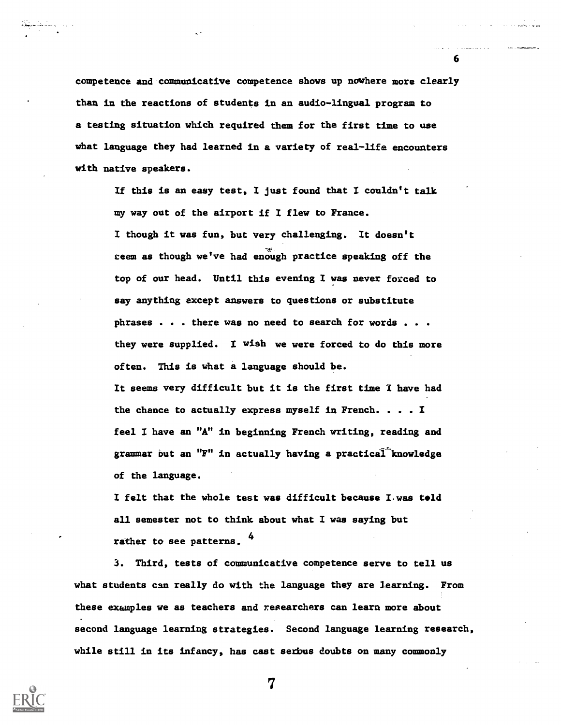competence and communicative competence shows up nowhere more clearly than in the reactions of students in an audio-lingual program to a testing situation whiCh required them for the first time to use what language they had learned in a variety of real-life encounters with native speakers.

6

If this is an easy test, I just found that I couldn't talk my way out of the airport if I flew to France. I though it was fun, but very challenging. It doesn't ceem as though we've had enough practice speaking off the top of our head. Until this evening I was never forced to say anything except answers to questions or substitute phrases . . . there was no need to search for words . . . they were supplied. I wish we were forced to do this more often. This is what a language should be. It seems very difficult but it is the first time I have had the chance to actually express myself in French. . . . I feel I have an "A" in beginning French writing, reading and grammar but an "F" in actually having a practical knowledge

of the language.

I felt that the whole test was difficult because Lwas told all semester not to think about what I was saying but rather to see patterns. 4

3. Third, tests of communicative competence serve to tell us what students can really do with the language they are learning. From these examples we as teachers and researchers can learn more about second language learning strategies. Second language learning research, while still in its infancy, has cast serbus doubts on many commonly

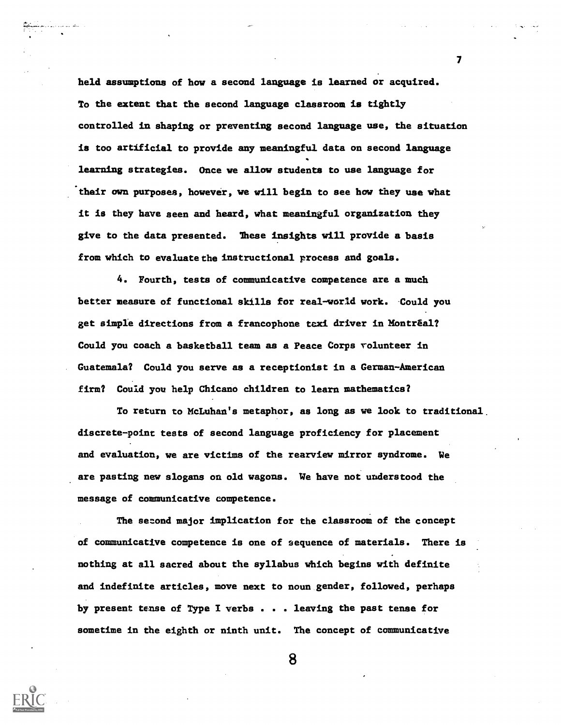held assumptions of bow a second language is learned or acquired. To the extent that the second language classroom is tightly controlled in shaping or preventing second language use, the situation is too artificial to provide any meaningful data on second language learning strategies. Once we allow students to use language for their own purposes, however, we will begin to see how they use what it is they have seen and heard, what meaningful organization they give to the data presented. These insights will provide a basis from which to evaluate the instructional process and goals.

4. Fourth, tests of communicative competence are a much better measure of functional skills for real-world work. Could you get simple directions from a francophone taxi driver in Montréal? Could you coach a basketball team as a Peace Corps volunteer in Guatemala? Could you serve as a receptionist in a German-American firm? Could you help Chicano children to learn mathematics?

To return to McLuhan's metaphor, as long as we look to traditional. discrete-point tests of second language proficiency for placement and evaluation, we are victims of the rearview mirror syndrome. We are pasting new slogans on old wagons. We have not understood the message of communicative competence.

The second major implication for the classroom of the concept of communicative competence is one of sequence of materials. There is nothing at all sacred about the syllabus which begins with definite and indefinite articles, move next to noun gender, followed, perhaps by present tense of Type I verbs . . . leaving the past tense for sometime in the eighth or ninth unit. The concept of communicative

 $\mathbf{7}$  and  $\mathbf{7}$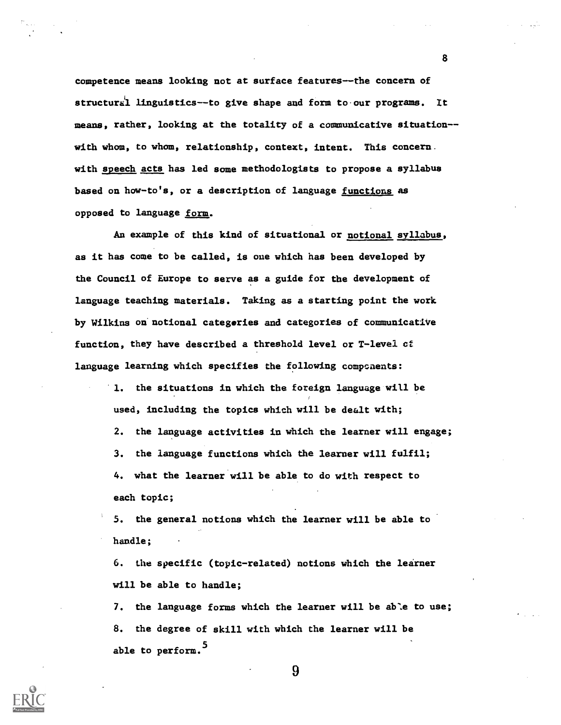competence means looking not at surface features--the concern of structural linguistics--to give shape and form to our programs. It means, rather, looking at the totality of a communicative situation- with whom, to whom, relationship, context, intent. This concern. with speech acts has led some methodologists to propose a syllabus based on how-to's, or a description of language functions as opposed to language form.

An example of this kind of situational or notional syllabus, as it has come to be called, is one which has been developed by the Council of Europe to serve as a guide for the development of language teaching materials. Taking as a starting point the work by Wilkins on notional categories and categories of communicative function, they have described a threshold level or T-level cf language learning which specifies the following components:

> 1. the situations in which the foreign language will be used, including the topics which will be dealt with; 2. the language activities in which the learner will engage; 3. the language functions which the learner will fulfil; 4. what the learner will be able to do with respect to each topic;

5. the general notions which the learner will be able to handle;

6. the specific (topic-related) notions which the learner will be able to handle;

7. the language forms which the learner will be able to use; 8. the degree of skill with which the learner will be able to perform.<sup>5</sup>



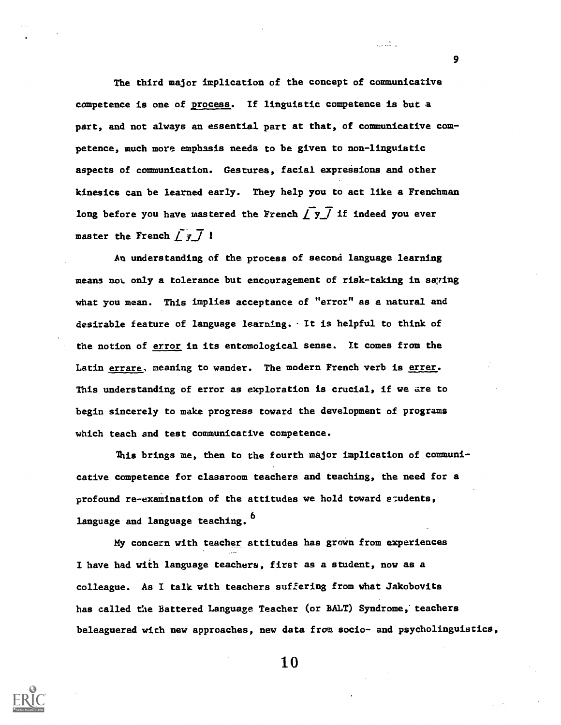The third major implication of the concept of communicative competence is one of process. If linguistic competence is but a part, and not always an essential part at that, of communicative competence, much more emphasis needs to be given to non-linguistic aspects of communication. Gestures, facial expressions and other kinesics can be learned early. They help you to act like a Frenchman long before you have mastered the French  $\int y \overline{f}$  if indeed you ever master the French  $\int y \overline{f}$  1

An understanding of the process of second language learning means nol. only a tolerance but encouragement of risk-taking in saying what you mean. This implies acceptance of "error" as a natural and desirable feature of language learning. It is helpful to think of the notion of error in its entomological sense. It comes from the Latin errare, meaning to wander. The modern French verb is errer. This understanding of error as exploration is crucial, if we are to begin sincerely to make progress toward the development of programs which teach and test communicative competence.

This brings me, then to the fourth major implication of communicative competence for classroom teachers and teaching, the need for a profound re-examination of the attitudes we hold toward students, language and language teaching. <sup>6</sup>

My concern with teacher attitudes has grown from experiences I have had with language teachers, first as a student, now as a colleague. As I talk with teachers suffering from what Jakobovits has called the Battered Language Teacher (or BALT) Syndrome, teachers beleaguered with new approaches, new data from socio- and psycholinguistics,



10

9

المستقبل المراجع<br>المستقبل المراجع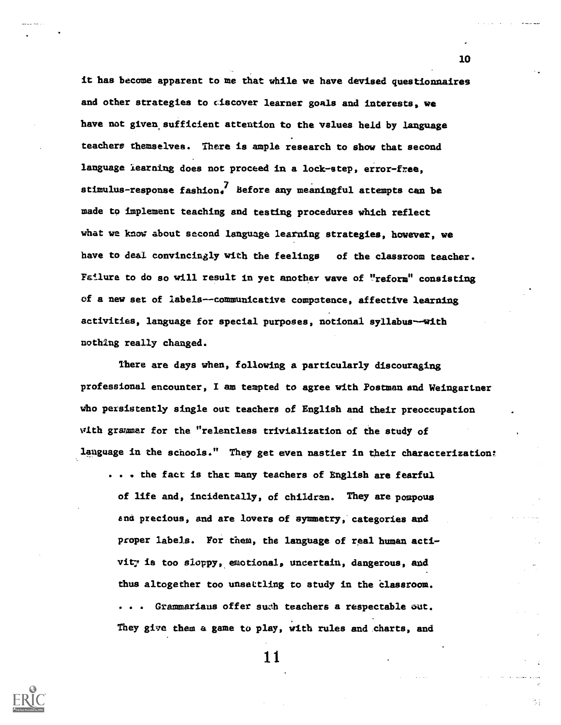it has become apparent to me that while we have devised questionnaires and other strategies to ciscover learner goals and interests, we have not given sufficient attention to the values held by language teachers themselves. There is ample research to show that second language learning does not proceed in a lock-step, error-free, stimulus-response fashion.<sup>7</sup> Before any meaningful attempts can be made to implement teaching and testing procedures which reflect what we know about second language learning strategies, however, we have to deal convincingly with the feelings of the classroom teacher. Failure to do so will result in yet another wave of "reform" consisting of a new set of labels--communicative competence, affective learning activities, language for special purposes, notional syllabus-with nothing really changed.

There are days when, following a particularly discouraging professional encounter, I am tempted to agree with Postman and Weingartner who persistently single out teachers of English and their preoccupation vith grammar for the "relentless trivialization of the study of language in the schools." They get even nastier in their characterization:

... the fact is that many teachers of English are fearful of life and, incidentally, of children. They are pompous end precious, and are lovers of symmetry, categories and proper labels. For them, the language of real human activit7 is too sloppy, emotional, uncertain, dangerous, and thus altogether too unsettling to study in the classroom. . . Grammarians offer swh teachers a respectable aut. They give them a game to play, with rules and charts, and

11



10

色丁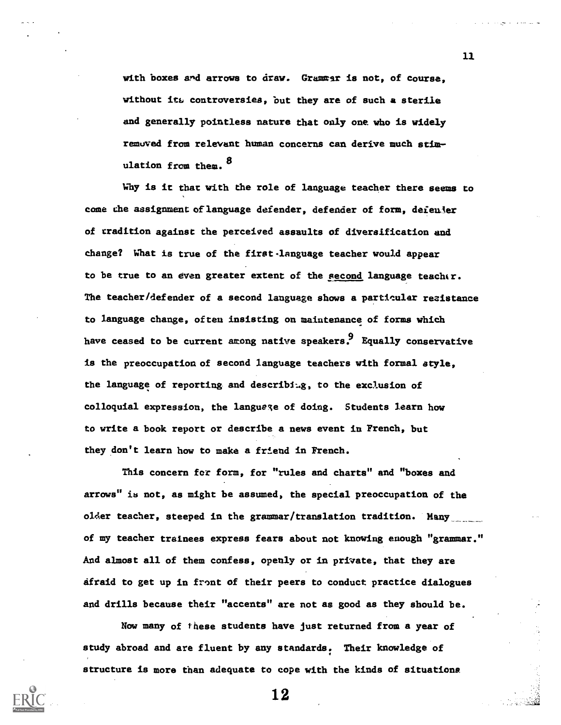with boxes and arrows to draw. Grammar is not, of course. without its controversies, but they are of such a sterile and generally pointless nature that only one who is widely remuved from relevant human concerns can derive much stimulation from them.  $^8$ 

Why is it thac with the role of language teacher there seems to come the assignment oflanguage defender, defender of form, deienier of tradition against the perceived assaults of diversification and change? What is true of the first.language teacher would appear to be true to an even greater extent of the second language teacher. The teacher/defender of a second language shows a particular reaistance to language change, often insisting on maintenance of forms which have ceased to be current among native speakers.<sup>9</sup> Equally conservative is the preoccupation of second language teachers with formal style, the language of reporting and describing, to the exclusion of colloquial expression, the language of doing. Students learn how to write a book report or describe a news event in French, but they don't learn how to make a friend in French.

This concern for form, for "rules and charts" and "boxes and arrows" is not, as might be assumed, the special preoccupation of the older teacher, steeped in the grammar/translation tradition. Many of my teacher trainees express fears about not knowing enough "grammar." And almost all of them confess, openly or in private, that they are afraid to get up in front of their peers to conduct practice dialogues and drills because their "accents" are not aa good as they should be.

Now many of these students have just returned from a year of study abroad and are fluent by any standards. Their knowledge of structure is more than adequate to cope with the kinds of situations

11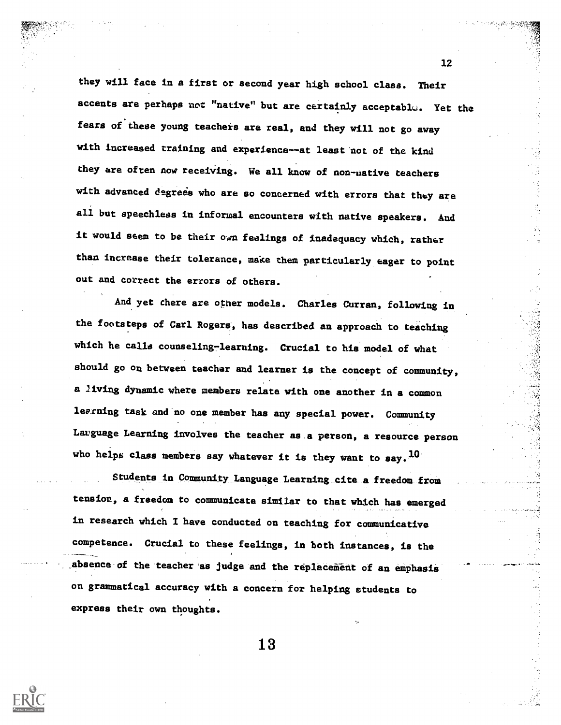they will face in a first or second year high school clasa. Their accents are perhaps not "native" but are certainly acceptable. Yet the fears of these young teachers are real, and they will not go away with increased training and experience--at least not of the kind they are often now receiving. We all know of non-uative teachers with advanced degrees who are so concerned with errors that they are all but speechless in informal encounters with native speakers. And it would seem to be their own feelings of inadequacy which, rather than increase their tolerance, make them particularly eager to point out and correct the errors of others.

And yet there are other models. Charles Curran, following in the footsteps of Carl Rogers, has described an approach to teaching which he calla counseling-learning. Crucial to his model of what should go ou between teacher and learner is the concept of community, a living dynamic where members relate with one another in a common learning task and no one member has any special power. Community Lauguage Learning involves the teacher as.a person, a resource person who helps class members say whatever it is they want to say.  $^{10}$ 

Students in Community,Language\_Learning\_cite\_a freedom from tension, a freedom to communicate similar to that which has emerged in research which I have conducted on teaching for communicative competence. Crucial to these feelings, in both instances, is the absence of the teacher as judge and the replacement of an emphasis on grammatical accuracy with a concern for helping students to express their own thoughts.

13

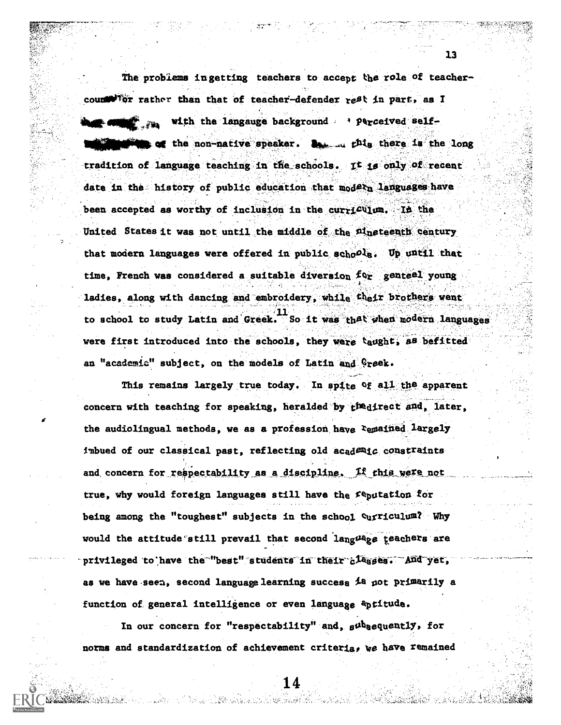The problems in getting teachers to accept the role of teachercounter that then that of teacher-defender rest in part, as I with the langauge background  $\rightarrow$  Perceived selfof the non-native speaker. Bessied this there is the long tradition of language teaching in the schools. It is only of recent date in the history of public education that models languages have been accepted as worthy of inclusion in the curriculum. In the United States it was not until the middle of the Plneteenth Century that modern languages were offered in public schoole. Up until that time, French was considered a suitable diversion  $f \circ r$  genteel young ladies, along with dancing and embroidery, while their brothers went . to school to study Latin and Greek. So it was that when modern languages were first introduced into the schools, they were taught, as befitted an "academia" subject, on the models of Latin and Greek.

This remains largely true today. In spite Of all the apparent concern with teaching for speaking, heralded by  $t^{fn}$ direct and, later, the audiolingual methods, we as a profession have remained largely imbued of our classical past, reflecting old academic constraints and concern for respectability as a discipline. If this were not true, why would foreign languages still have the  $f$ eputation for being among the "toughest" subjects in the school Curriculum? Why would the attitude still prevail that second language teachers are privileged to have the "best" students in their classes. And yet, as we have seen, second language learning success  $\lambda$ a pot primarily a function of. general intelligence or even language aptitude.

In our concern for "respectability" and,  $\beta^{th}$ sequently, for norms and standardization of achievement criteria, we have remained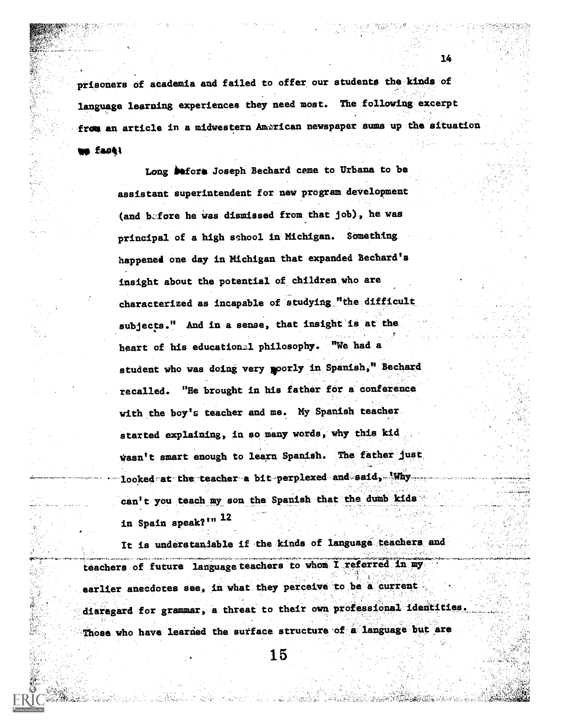prisoners of academia and failed to offer our students the kinds of language learning experiences they need most. The following excerpt from an article in a midwestern American newspaper sums up the situation

14

telp fa0,4

Long **be**fore Joseph Bechard came to Urbana to be assistant superintendent for' new program deVelopment (and before he was dismissed from that job), he was principal of a high school in Michigan. Something happened one day in Michigan that expanded Bechard's insight about the potential of children who are characterized as incapable of studying "the difficult subjects." And in a sense, that insight is at the heart of his educationzl philosophy. "We had a student who was doing very poorly in Spanish," Bechard recalled. "He brought in his father for a conference with the boy's teacher and me. My Spanish teacher started explaining, in so many words, why this kid wasn't smart enough to learn Spanish. The father just, looked at the teacher a bit perplexed and said, Why  $\mathcal{L} \times \mathcal{L} \times \mathcal{L} \times \mathcal{L}$ can't you teach my son the Spanish that the dumb kids in Spain speak?'" 12

It is understaniable if the kinds of language teachers and teachers of future language teachers to whom I referred in my earlier anecdotes see, in what they perceive to be a current.  $\sim$   $\sim$   $\sim$   $\sim$ disregard for grammar, a threat to their own professional identiti Those who have learned the surface structure of a language but are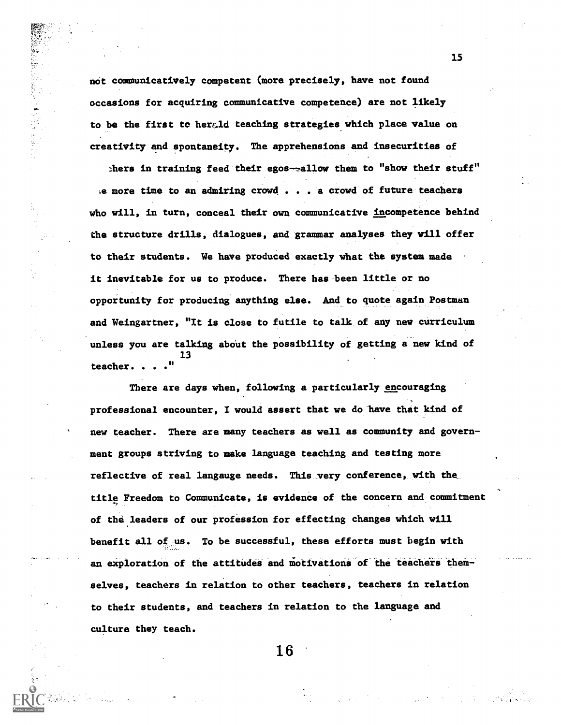not communicatively competent (more precisely, have not found occasions for acquiring communicative competence) are not likely to be the first to herald teaching strategies which place value on creativity and spontaneity. The apprehensions.and insecurities of

thers in training feed their egos- $\sim$ allow them to "show their stuff" le more time to an admiring crowd . . . a crowd of future teachers who will, in turn, conceal their own communicative incompetence behind the structure drills, dialogues, and grammar analyses they will offer to their students. We have produced exactly what the system made it inevitable for us to produce. There has been little or no opportunity for producing anything else. And to quote again Postman and Weingartner, "It is close to futile to talk of any new curriculum unless you are talking about the possibility of getting a new kind of 13 teacher. . . ."

There are days when, following a particularly encouraging professional encounter, I would assert that we do'have that kind of new teacher. There are many teachers as well as community and government groups striving to make language teaching and testing more reflective of real langauge needs. This very conference, with the title Freedom to Communicate, is evidence of the Concern and commitment of the leaders of our profession for effecting changes which will benefit all of us. To be successful, these efforts must begin with an exploration of the attitudes and motivations of the teachers themselves, teachers in relation to other teachers, teachers in relation to their students, and teachers in relation to the language and culture they teach.

16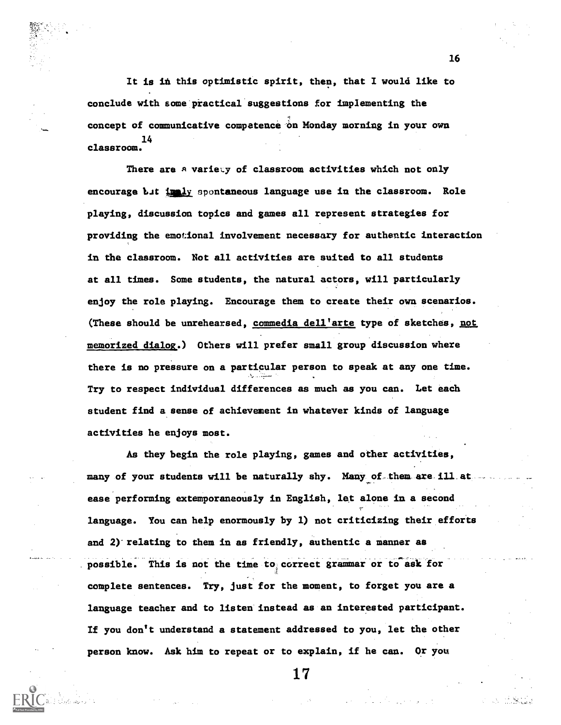It is in this optimistic spirit, then, that I would like to conclude with some-practical suggestions for implementing the concept of communicative competence on Monday morning in your own 14 classroom.

There are a variety of classroom activities which not only encourage but in ly spontaneous language use in the classroom. Role playing, discussion topics and games all represent strategies for providing the emotional involvement necessary for authentic interaction in the classroom. Not all activities are suited to all students at all times. Some students, the natural actors, will particularly enjoy the role playing. Encourage them to create their own scenarios. (These should be unrehearsed, commedia dell'arte type of sketches, not memorized dialog.) Others will prefer small group discussion where there is no pressure on a particular person to speak at any one time. Try to respect individual differences as much as you can. Let each student find a sense of achievement in whatever kinds of language activities he enjoys most.

As they begin the role playing, games and other activities, many of your students will be naturally shy. Many of them are ill at ease performing extemporaneously in English, let alone in a second language. You can help enormously by 1) not criticizing their efforis and  $2)$  relating to them in as friendly, authentic a manner as possible. This is not the time to correct grammar or to ask for complete sentences. Try, just for the moment, to forget you are a language teacher and to listen instead as au interested participant. If you don't understand a statement addressed to you, let the other person know. Ask him to repeat or to explain, if he can. Or you

16

17

,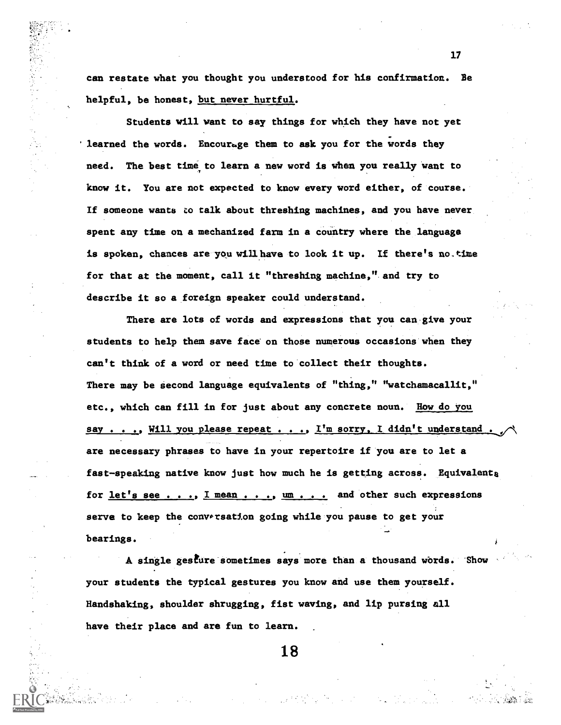can restate what you thought you understood for his confirmation. Be helpful, be honest, but never hurtful.

Students will want to say things for which they have not yet learned the words. Encourage them to ask you for the words they need. The best time to learn a new word is when you really want to know it. You are not expected to know every word either, of course. If someone wants to talk about threshing machines, and you have never spent any time on a mechanized farm in a country where the language is spoken, chances are you willhave to look it up. If there's no.time for that at the moment, call it "threshing machine," and try to describe it so a foreign speaker could understand.

There are lots of words and expressions that you can give your students to help them save face on those numerous occasions when they can't think of a word or need time to collect their thoughts. There may be second language equivalents of "thing," "watchamacallit," etc., which can fill in for just about any concrete noun. How do you say . . ., Will you please repeat . . ., I'm sorry, I didn't understand. are necessary phrases to have in your repertoire if you are to let a fast-speaking native know just how much he is getting across. Equivalenta for let's see . . .,  $I$  mean . . .,  $um$  . . . and other such expressions serve to keep the conwrsation going while you pause to get your bearings.

A single gesture sometimes says more than a thousand words. Show your students the typical gestures you know and use them yourself. Handshaking, shoulder shrugging, fist waving, and lip pursing all have their place and are fun to learn.

17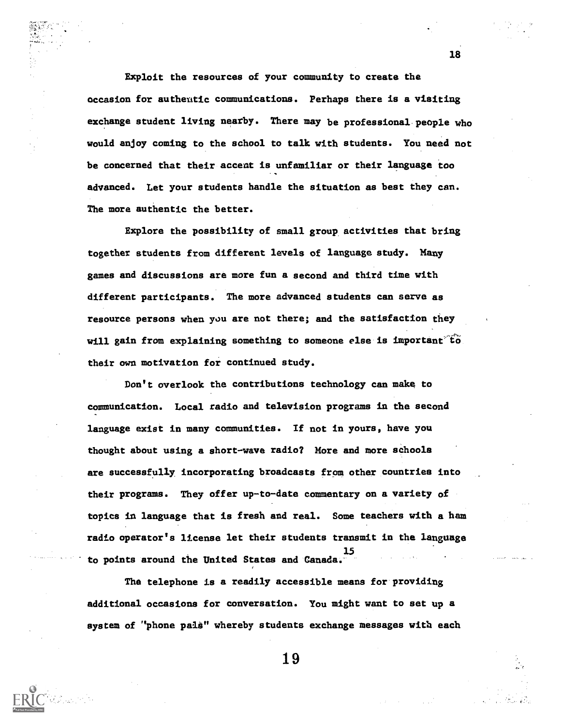Exploit the resources of your community to create the occasion for authentic communications. Perhaps there is a visiting exchange student living nearby. There may be professional people who would enjoy coming to the school to talk with students. You need not be concerned that their accent is unfamiliar or their language ioo advanced. Let your students handle the situation as best they can. The more authentic the better.

Explore the possibility of small group activities that bring together students from different levels of language study. Many games and discussions are more fun a second and third time with different participants. The more advanced students can serve as resource persons when you are not there; and the satisfaction they will gain from explaining something to someone else is important to their own motivation for continued study.

Don't overlook the contributions technology can make to communication. Local radio and television programs in the second language exist in many communities. If not in yours, have you thought about using a short-wave radio? More and more schools are successfully, incorporating broadcasts from other countries into their programs. They offer up-to-date commentary on a variety of topics in language that is fresh and real. Some teachers with a ham radio operator's license let their students transmit in the language 15 to points around the United States and Canada. The control of the United States and Canada.

Tha telephone is a readily accessible means for providing additional occasions for conversation. You might want to set up a system of "phone pals" whereby students exchange messages with each

18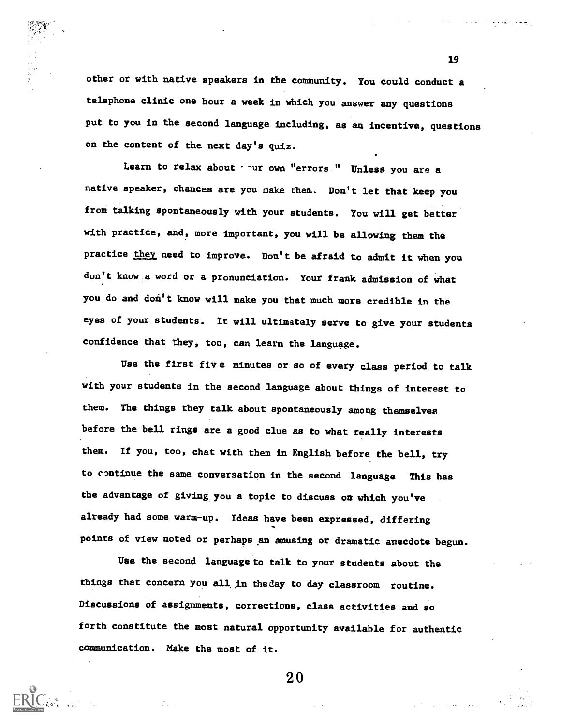other or with native speakers in the community. You could conduct a telephone clinic one hour a week in which you answer any questions put to you in the second language including, as an incentive, questions on the content of the next day's quiz.

Learn to relax about  $\sim$  ur own "errors " Unless you are a native speaker, chances are you make them. Don't let that keep you from talking spontaneously with your students. You will get better with practice, and, more important, you will be allowing them the practice they need to improve. Don't be afraid to admit it when you don't know a word or a pronunciation. Your frank admission of what you do and don't know will make you that much more credible in the eyes of your students. It will ultimately serve to give your students confidence that they, too, can learn the language.

Use the first five minutes or so of every class period to talk with your students in the second language about things of interest to them. The things they talk about spontaneously among themselves before the hell rings are a good clue as to what really interests them. If you, too, chat with them in English before the bell, try to continue the same conversation in the second language This has the advantage of giving.you a topic to discuss on which you've already had some warm-up. Ideas have been expressed, differing points of view noted or perhaps an amusing or dramatic anecdote begun.

Use the second language to talk to your students about the things that concern you all in fheday to day classroom routine. Discussions of assignments, corrections, class activities and so forth constitute the most natural opportunity available for authentic communication. Make the most of it.

20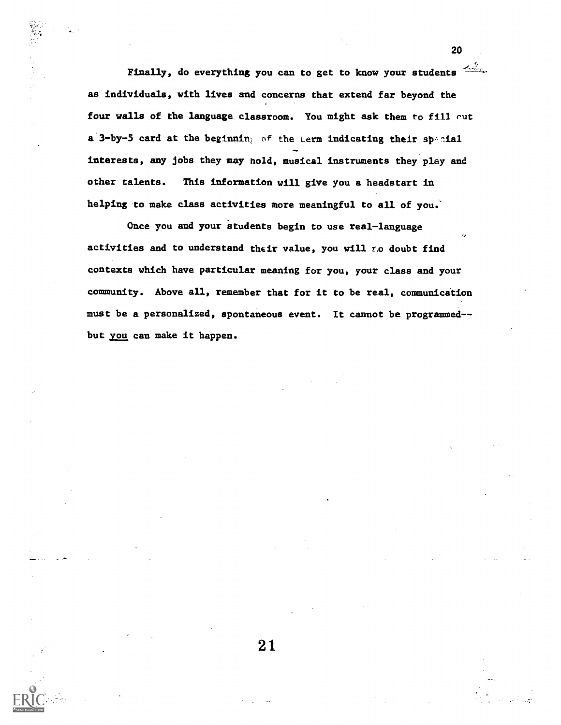Finally, do everything you can to get to know your students  $\frac{2\pi}{3}$ . as individuals, with lives and concerns that extend far beyond the four walls of the language classroom. You might ask them to fill out a 3-by-5 card at the beginning of the term indicating their special interests, any jobs they may hold, musical instruments they play and other talents. This information will give you a headstart in helping to make class activities more meaningful to all of you.

Once you and your students begin to use real-language activities and to understand their value, you will  $r.o$  doubt find contexts which have particular meaning for you, your class and your community. Above all, remember that for it to be real, communication must be a personalized, spontaneous event. It cannot be programmed- but you can make it happen.

21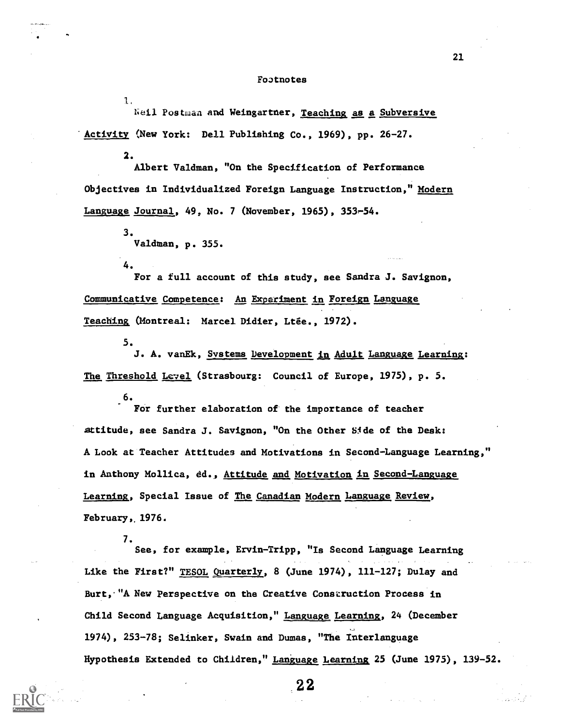## Foatnotes

Neil Postmaa and Weingartner, Teaching as a Subversive 'Activity (New York: Dell Publishing Co., 1969), pp. 26-27.

2.

 $\mathbf{1}_{\cdot}$ 

Albert Valdman, "On the Specification of Performance Objectives in Individualized Foreign Language Instruction," Modern Language Journal, 49, No. 7 (November, 1965), 353-54.

> 3. Valdman, p. 355.

For a full account of this study, see Sandra J. Savignon, Communicative Competence: An Experiment in Foreign Language Teaching (Montreal: Marcel Didier, Ltée., 1972).

5.

4.

J. A. vanEk, Systems Development in Adult Language Learning: The Threshold Level (Strasbourg: Council of Europe, 1975), p. 5.

6. For further elaboration of the importance of teacher attitude, see Sandra J. Savignon, "On the Other Side of the Desk: A Look at Teacher Attitudes and Motivations in Second-Language Learning," in Anthony Mollica, ed., Attitude and Motivation in Second-Language Learning, Special Issue of The Canadian Modern Language Review, February, 1976.

7. See, for example, Ervin-Tripp, "Is Second Language Learning

Like the First?" TESOL Quarterly, 8 (June 1974), 111-127; Dulay and Burt, "A New Perspective on the Creative Construction Process in Child Second Language Acquisition," Language Learning, 24 (December 1974), 253-78; Selinker, Swain and Dumas, "The Interlanguage Hypothesis Extended to Children," Language Learning 25 (June 1975), 139-52.